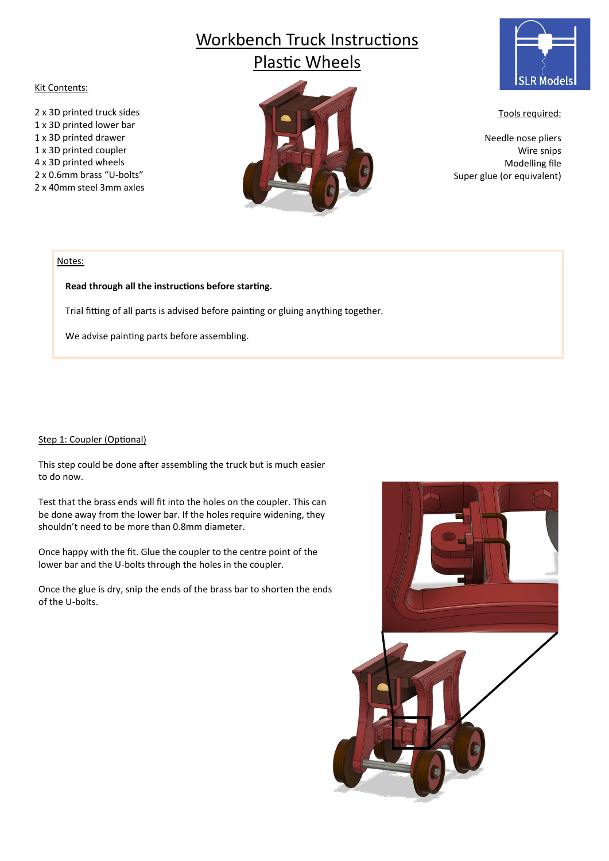# Workbench Truck Instructions Plastic Wheels

## Kit Contents:

2 x 3D printed truck sides 1 x 3D printed lower bar 1 x 3D printed drawer 1 x 3D printed coupler 4 x 3D printed wheels 2 x 0.6mm brass "U-bolts" 2 x 40mm steel 3mm axles





Tools required:

Needle nose pliers Wire snips Modelling file Super glue (or equivalent)

#### Notes:

## **Read through all the instructions before starting.**

Trial fitting of all parts is advised before painting or gluing anything together.

We advise painting parts before assembling.

## Step 1: Coupler (Optional)

This step could be done after assembling the truck but is much easier to do now.

Test that the brass ends will fit into the holes on the coupler. This can be done away from the lower bar. If the holes require widening, they shouldn't need to be more than 0.8mm diameter.

Once happy with the fit. Glue the coupler to the centre point of the lower bar and the U-bolts through the holes in the coupler.

Once the glue is dry, snip the ends of the brass bar to shorten the ends of the U-bolts.